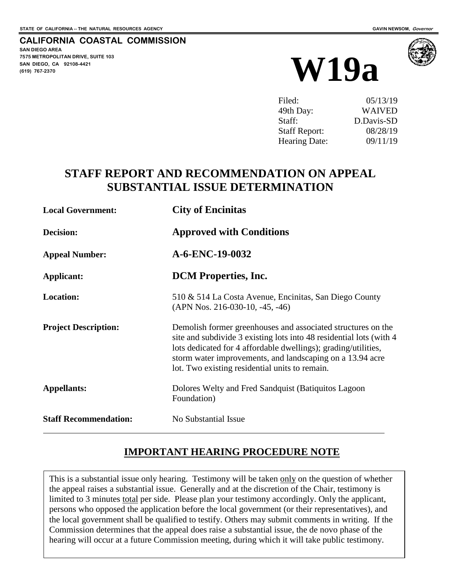## **CALIFORNIA COASTAL COMMISSION**

**SAN DIEGO AREA 7575 METROPOLITAN DRIVE, SUITE 103 SAN DIEGO, CA 92108-4421**





| Filed:               | 05/13/19      |
|----------------------|---------------|
| 49th Day:            | <b>WAIVED</b> |
| Staff:               | D.Davis-SD    |
| <b>Staff Report:</b> | 08/28/19      |
| Hearing Date:        | 09/11/19      |

# **STAFF REPORT AND RECOMMENDATION ON APPEAL SUBSTANTIAL ISSUE DETERMINATION**

| <b>Local Government:</b>     | <b>City of Encinities</b>                                                                                                                                                                                                                                                                                            |  |
|------------------------------|----------------------------------------------------------------------------------------------------------------------------------------------------------------------------------------------------------------------------------------------------------------------------------------------------------------------|--|
| Decision:                    | <b>Approved with Conditions</b>                                                                                                                                                                                                                                                                                      |  |
| <b>Appeal Number:</b>        | A-6-ENC-19-0032                                                                                                                                                                                                                                                                                                      |  |
| Applicant:                   | <b>DCM</b> Properties, Inc.                                                                                                                                                                                                                                                                                          |  |
| Location:                    | 510 & 514 La Costa Avenue, Encinitas, San Diego County<br>$(APN Nos. 216-030-10, -45, -46)$                                                                                                                                                                                                                          |  |
| <b>Project Description:</b>  | Demolish former greenhouses and associated structures on the<br>site and subdivide 3 existing lots into 48 residential lots (with 4<br>lots dedicated for 4 affordable dwellings); grading/utilities,<br>storm water improvements, and landscaping on a 13.94 acre<br>lot. Two existing residential units to remain. |  |
| <b>Appellants:</b>           | Dolores Welty and Fred Sandquist (Batiquitos Lagoon<br>Foundation)                                                                                                                                                                                                                                                   |  |
| <b>Staff Recommendation:</b> | No Substantial Issue                                                                                                                                                                                                                                                                                                 |  |

# **IMPORTANT HEARING PROCEDURE NOTE**

This is a substantial issue only hearing. Testimony will be taken only on the question of whether the appeal raises a substantial issue. Generally and at the discretion of the Chair, testimony is limited to 3 minutes total per side. Please plan your testimony accordingly. Only the applicant, persons who opposed the application before the local government (or their representatives), and the local government shall be qualified to testify. Others may submit comments in writing. If the Commission determines that the appeal does raise a substantial issue, the de novo phase of the hearing will occur at a future Commission meeting, during which it will take public testimony.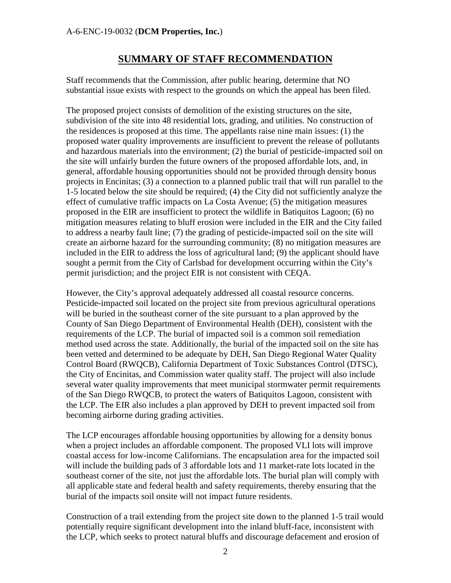## **SUMMARY OF STAFF RECOMMENDATION**

Staff recommends that the Commission, after public hearing, determine that NO substantial issue exists with respect to the grounds on which the appeal has been filed.

The proposed project consists of demolition of the existing structures on the site, subdivision of the site into 48 residential lots, grading, and utilities. No construction of the residences is proposed at this time. The appellants raise nine main issues: (1) the proposed water quality improvements are insufficient to prevent the release of pollutants and hazardous materials into the environment; (2) the burial of pesticide-impacted soil on the site will unfairly burden the future owners of the proposed affordable lots, and, in general, affordable housing opportunities should not be provided through density bonus projects in Encinitas; (3) a connection to a planned public trail that will run parallel to the 1-5 located below the site should be required; (4) the City did not sufficiently analyze the effect of cumulative traffic impacts on La Costa Avenue; (5) the mitigation measures proposed in the EIR are insufficient to protect the wildlife in Batiquitos Lagoon; (6) no mitigation measures relating to bluff erosion were included in the EIR and the City failed to address a nearby fault line; (7) the grading of pesticide-impacted soil on the site will create an airborne hazard for the surrounding community; (8) no mitigation measures are included in the EIR to address the loss of agricultural land; (9) the applicant should have sought a permit from the City of Carlsbad for development occurring within the City's permit jurisdiction; and the project EIR is not consistent with CEQA.

However, the City's approval adequately addressed all coastal resource concerns. Pesticide-impacted soil located on the project site from previous agricultural operations will be buried in the southeast corner of the site pursuant to a plan approved by the County of San Diego Department of Environmental Health (DEH), consistent with the requirements of the LCP. The burial of impacted soil is a common soil remediation method used across the state. Additionally, the burial of the impacted soil on the site has been vetted and determined to be adequate by DEH, San Diego Regional Water Quality Control Board (RWQCB), California Department of Toxic Substances Control (DTSC), the City of Encinitas, and Commission water quality staff. The project will also include several water quality improvements that meet municipal stormwater permit requirements of the San Diego RWQCB, to protect the waters of Batiquitos Lagoon, consistent with the LCP. The EIR also includes a plan approved by DEH to prevent impacted soil from becoming airborne during grading activities.

The LCP encourages affordable housing opportunities by allowing for a density bonus when a project includes an affordable component. The proposed VLI lots will improve coastal access for low-income Californians. The encapsulation area for the impacted soil will include the building pads of 3 affordable lots and 11 market-rate lots located in the southeast corner of the site, not just the affordable lots. The burial plan will comply with all applicable state and federal health and safety requirements, thereby ensuring that the burial of the impacts soil onsite will not impact future residents.

Construction of a trail extending from the project site down to the planned 1-5 trail would potentially require significant development into the inland bluff-face, inconsistent with the LCP, which seeks to protect natural bluffs and discourage defacement and erosion of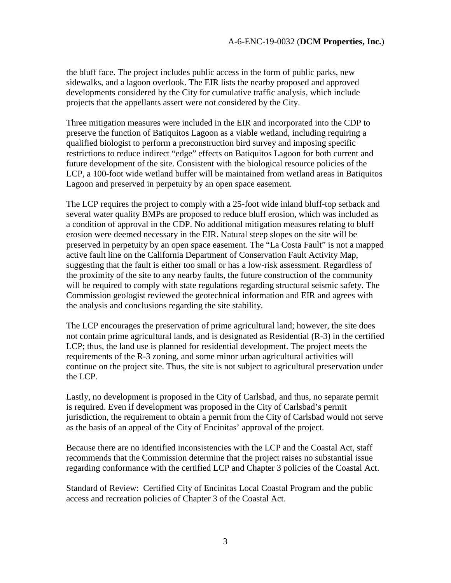the bluff face. The project includes public access in the form of public parks, new sidewalks, and a lagoon overlook. The EIR lists the nearby proposed and approved developments considered by the City for cumulative traffic analysis, which include projects that the appellants assert were not considered by the City.

Three mitigation measures were included in the EIR and incorporated into the CDP to preserve the function of Batiquitos Lagoon as a viable wetland, including requiring a qualified biologist to perform a preconstruction bird survey and imposing specific restrictions to reduce indirect "edge" effects on Batiquitos Lagoon for both current and future development of the site. Consistent with the biological resource policies of the LCP, a 100-foot wide wetland buffer will be maintained from wetland areas in Batiquitos Lagoon and preserved in perpetuity by an open space easement.

The LCP requires the project to comply with a 25-foot wide inland bluff-top setback and several water quality BMPs are proposed to reduce bluff erosion, which was included as a condition of approval in the CDP. No additional mitigation measures relating to bluff erosion were deemed necessary in the EIR. Natural steep slopes on the site will be preserved in perpetuity by an open space easement. The "La Costa Fault" is not a mapped active fault line on the California Department of Conservation Fault Activity Map, suggesting that the fault is either too small or has a low-risk assessment. Regardless of the proximity of the site to any nearby faults, the future construction of the community will be required to comply with state regulations regarding structural seismic safety. The Commission geologist reviewed the geotechnical information and EIR and agrees with the analysis and conclusions regarding the site stability.

The LCP encourages the preservation of prime agricultural land; however, the site does not contain prime agricultural lands, and is designated as Residential (R-3) in the certified LCP; thus, the land use is planned for residential development. The project meets the requirements of the R-3 zoning, and some minor urban agricultural activities will continue on the project site. Thus, the site is not subject to agricultural preservation under the LCP.

Lastly, no development is proposed in the City of Carlsbad, and thus, no separate permit is required. Even if development was proposed in the City of Carlsbad's permit jurisdiction, the requirement to obtain a permit from the City of Carlsbad would not serve as the basis of an appeal of the City of Encinitas' approval of the project.

Because there are no identified inconsistencies with the LCP and the Coastal Act, staff recommends that the Commission determine that the project raises no substantial issue regarding conformance with the certified LCP and Chapter 3 policies of the Coastal Act.

Standard of Review: Certified City of Encinitas Local Coastal Program and the public access and recreation policies of Chapter 3 of the Coastal Act.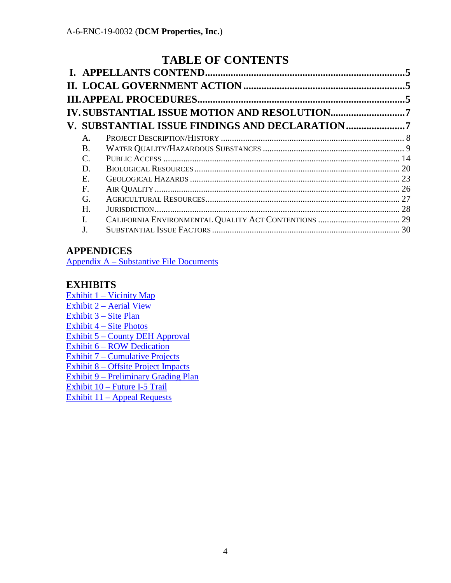# **TABLE OF CONTENTS**

|           | IV.SUBSTANTIAL ISSUE MOTION AND RESOLUTION7    |  |
|-----------|------------------------------------------------|--|
|           | V. SUBSTANTIAL ISSUE FINDINGS AND DECLARATION7 |  |
| A.        |                                                |  |
| <b>B.</b> |                                                |  |
| C.        |                                                |  |
| D.        |                                                |  |
| Е.        |                                                |  |
| F.        |                                                |  |
| G.        |                                                |  |
| Н.        |                                                |  |
| Ι.        |                                                |  |
| J.        |                                                |  |
|           |                                                |  |

# **APPENDICES**

[Appendix A – Substantive File Documents](#page-30-0)

# **EXHIBITS**

Exhibit 1 – Vicinity Map Exhibit 2 – Aerial View Exhibit 3 – Site Plan Exhibit 4 – Site Photos Exhibit 5 – County DEH Approval Exhibit 6 – ROW Dedication Exhibit 7 – Cumulative Projects Exhibit 8 – Offsite Project Impacts Exhibit 9 – Preliminary Grading Plan Exhibit 10 – Future I-5 Trail Exhibit 11 – Appeal Requests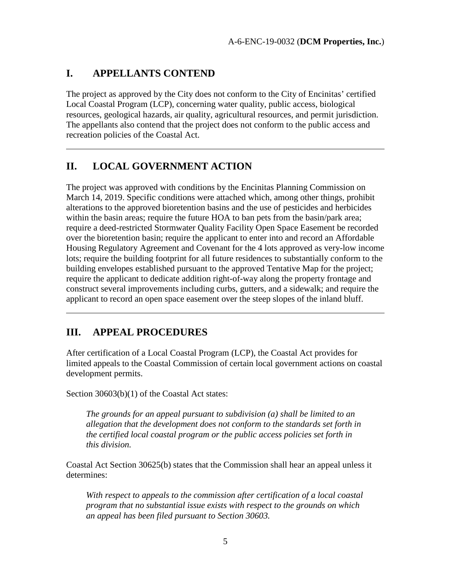## <span id="page-4-0"></span>**I. APPELLANTS CONTEND**

 $\overline{a}$ 

 $\overline{a}$ 

The project as approved by the City does not conform to the City of Encinitas' certified Local Coastal Program (LCP), concerning water quality, public access, biological resources, geological hazards, air quality, agricultural resources, and permit jurisdiction. The appellants also contend that the project does not conform to the public access and recreation policies of the Coastal Act.

# <span id="page-4-1"></span>**II. LOCAL GOVERNMENT ACTION**

The project was approved with conditions by the Encinitas Planning Commission on March 14, 2019. Specific conditions were attached which, among other things, prohibit alterations to the approved bioretention basins and the use of pesticides and herbicides within the basin areas; require the future HOA to ban pets from the basin/park area; require a deed-restricted Stormwater Quality Facility Open Space Easement be recorded over the bioretention basin; require the applicant to enter into and record an Affordable Housing Regulatory Agreement and Covenant for the 4 lots approved as very-low income lots; require the building footprint for all future residences to substantially conform to the building envelopes established pursuant to the approved Tentative Map for the project; require the applicant to dedicate addition right-of-way along the property frontage and construct several improvements including curbs, gutters, and a sidewalk; and require the applicant to record an open space easement over the steep slopes of the inland bluff.

# <span id="page-4-2"></span>**III. APPEAL PROCEDURES**

After certification of a Local Coastal Program (LCP), the Coastal Act provides for limited appeals to the Coastal Commission of certain local government actions on coastal development permits.

Section 30603(b)(1) of the Coastal Act states:

*The grounds for an appeal pursuant to subdivision (a) shall be limited to an allegation that the development does not conform to the standards set forth in the certified local coastal program or the public access policies set forth in this division.*

Coastal Act Section 30625(b) states that the Commission shall hear an appeal unless it determines:

*With respect to appeals to the commission after certification of a local coastal program that no substantial issue exists with respect to the grounds on which an appeal has been filed pursuant to Section 30603.*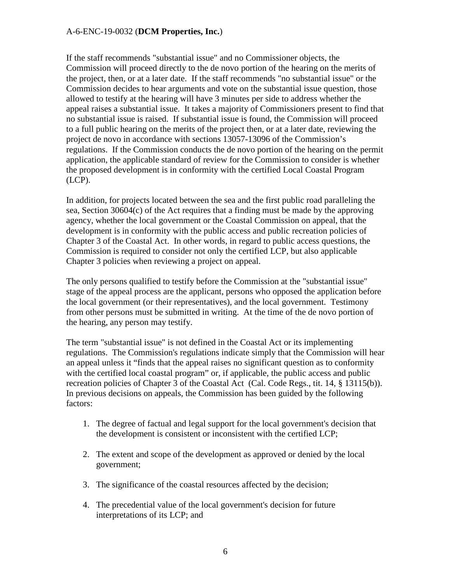If the staff recommends "substantial issue" and no Commissioner objects, the Commission will proceed directly to the de novo portion of the hearing on the merits of the project, then, or at a later date. If the staff recommends "no substantial issue" or the Commission decides to hear arguments and vote on the substantial issue question, those allowed to testify at the hearing will have 3 minutes per side to address whether the appeal raises a substantial issue. It takes a majority of Commissioners present to find that no substantial issue is raised. If substantial issue is found, the Commission will proceed to a full public hearing on the merits of the project then, or at a later date, reviewing the project de novo in accordance with sections 13057-13096 of the Commission's regulations. If the Commission conducts the de novo portion of the hearing on the permit application, the applicable standard of review for the Commission to consider is whether the proposed development is in conformity with the certified Local Coastal Program (LCP).

In addition, for projects located between the sea and the first public road paralleling the sea, Section 30604(c) of the Act requires that a finding must be made by the approving agency, whether the local government or the Coastal Commission on appeal, that the development is in conformity with the public access and public recreation policies of Chapter 3 of the Coastal Act. In other words, in regard to public access questions, the Commission is required to consider not only the certified LCP, but also applicable Chapter 3 policies when reviewing a project on appeal.

The only persons qualified to testify before the Commission at the "substantial issue" stage of the appeal process are the applicant, persons who opposed the application before the local government (or their representatives), and the local government. Testimony from other persons must be submitted in writing. At the time of the de novo portion of the hearing, any person may testify.

The term "substantial issue" is not defined in the Coastal Act or its implementing regulations. The Commission's regulations indicate simply that the Commission will hear an appeal unless it "finds that the appeal raises no significant question as to conformity with the certified local coastal program" or, if applicable, the public access and public recreation policies of Chapter 3 of the Coastal Act (Cal. Code Regs., tit. 14, § 13115(b)). In previous decisions on appeals, the Commission has been guided by the following factors:

- 1. The degree of factual and legal support for the local government's decision that the development is consistent or inconsistent with the certified LCP;
- 2. The extent and scope of the development as approved or denied by the local government;
- 3. The significance of the coastal resources affected by the decision;
- 4. The precedential value of the local government's decision for future interpretations of its LCP; and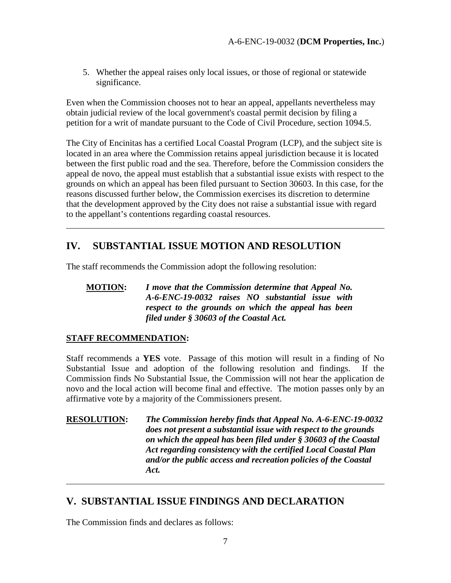5. Whether the appeal raises only local issues, or those of regional or statewide significance.

Even when the Commission chooses not to hear an appeal, appellants nevertheless may obtain judicial review of the local government's coastal permit decision by filing a petition for a writ of mandate pursuant to the Code of Civil Procedure, section 1094.5.

The City of Encinitas has a certified Local Coastal Program (LCP), and the subject site is located in an area where the Commission retains appeal jurisdiction because it is located between the first public road and the sea. Therefore, before the Commission considers the appeal de novo, the appeal must establish that a substantial issue exists with respect to the grounds on which an appeal has been filed pursuant to Section 30603. In this case, for the reasons discussed further below, the Commission exercises its discretion to determine that the development approved by the City does not raise a substantial issue with regard to the appellant's contentions regarding coastal resources.

# <span id="page-6-0"></span>**IV. SUBSTANTIAL ISSUE MOTION AND RESOLUTION**

The staff recommends the Commission adopt the following resolution:

## **MOTION:** *I move that the Commission determine that Appeal No. A-6-ENC-19-0032 raises NO substantial issue with respect to the grounds on which the appeal has been filed under § 30603 of the Coastal Act.*

## **STAFF RECOMMENDATION:**

 $\overline{a}$ 

 $\overline{a}$ 

Staff recommends a **YES** vote. Passage of this motion will result in a finding of No Substantial Issue and adoption of the following resolution and findings. If the Commission finds No Substantial Issue, the Commission will not hear the application de novo and the local action will become final and effective. The motion passes only by an affirmative vote by a majority of the Commissioners present.

## **RESOLUTION:** *The Commission hereby finds that Appeal No. A-6-ENC-19-0032 does not present a substantial issue with respect to the grounds on which the appeal has been filed under § 30603 of the Coastal Act regarding consistency with the certified Local Coastal Plan and/or the public access and recreation policies of the Coastal Act.*

# <span id="page-6-1"></span>**V. SUBSTANTIAL ISSUE FINDINGS AND DECLARATION**

The Commission finds and declares as follows: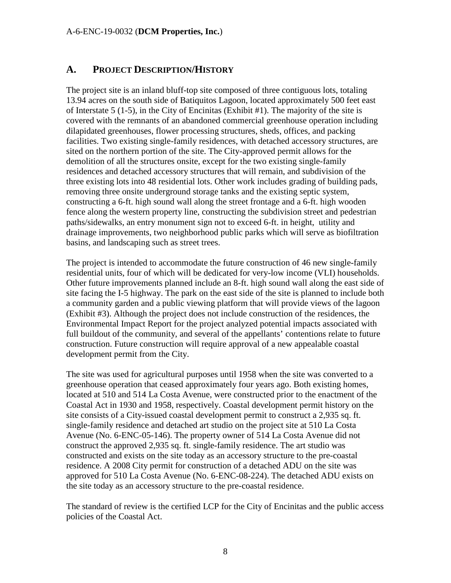# <span id="page-7-0"></span>**A. PROJECT DESCRIPTION/HISTORY**

The project site is an inland bluff-top site composed of three contiguous lots, totaling 13.94 acres on the south side of Batiquitos Lagoon, located approximately 500 feet east of Interstate 5 (1-5), in the City of Encinitas (Exhibit #1). The majority of the site is covered with the remnants of an abandoned commercial greenhouse operation including dilapidated greenhouses, flower processing structures, sheds, offices, and packing facilities. Two existing single-family residences, with detached accessory structures, are sited on the northern portion of the site. The City-approved permit allows for the demolition of all the structures onsite, except for the two existing single-family residences and detached accessory structures that will remain, and subdivision of the three existing lots into 48 residential lots. Other work includes grading of building pads, removing three onsite underground storage tanks and the existing septic system, constructing a 6-ft. high sound wall along the street frontage and a 6-ft. high wooden fence along the western property line, constructing the subdivision street and pedestrian paths/sidewalks, an entry monument sign not to exceed 6-ft. in height, utility and drainage improvements, two neighborhood public parks which will serve as biofiltration basins, and landscaping such as street trees.

The project is intended to accommodate the future construction of 46 new single-family residential units, four of which will be dedicated for very-low income (VLI) households. Other future improvements planned include an 8-ft. high sound wall along the east side of site facing the I-5 highway. The park on the east side of the site is planned to include both a community garden and a public viewing platform that will provide views of the lagoon (Exhibit #3). Although the project does not include construction of the residences, the Environmental Impact Report for the project analyzed potential impacts associated with full buildout of the community, and several of the appellants' contentions relate to future construction. Future construction will require approval of a new appealable coastal development permit from the City.

The site was used for agricultural purposes until 1958 when the site was converted to a greenhouse operation that ceased approximately four years ago. Both existing homes, located at 510 and 514 La Costa Avenue, were constructed prior to the enactment of the Coastal Act in 1930 and 1958, respectively. Coastal development permit history on the site consists of a City-issued coastal development permit to construct a 2,935 sq. ft. single-family residence and detached art studio on the project site at 510 La Costa Avenue (No. 6-ENC-05-146). The property owner of 514 La Costa Avenue did not construct the approved 2,935 sq. ft. single-family residence. The art studio was constructed and exists on the site today as an accessory structure to the pre-coastal residence. A 2008 City permit for construction of a detached ADU on the site was approved for 510 La Costa Avenue (No. 6-ENC-08-224). The detached ADU exists on the site today as an accessory structure to the pre-coastal residence.

The standard of review is the certified LCP for the City of Encinitas and the public access policies of the Coastal Act.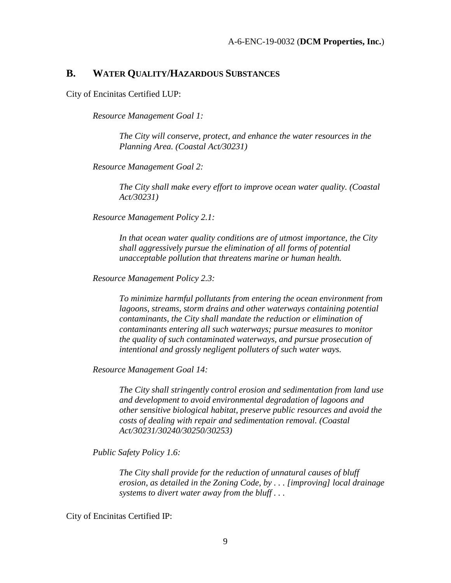## <span id="page-8-0"></span>**B. WATER QUALITY/HAZARDOUS SUBSTANCES**

City of Encinitas Certified LUP:

*Resource Management Goal 1:* 

*The City will conserve, protect, and enhance the water resources in the Planning Area. (Coastal Act/30231)* 

*Resource Management Goal 2:* 

*The City shall make every effort to improve ocean water quality. (Coastal Act/30231)* 

*Resource Management Policy 2.1:* 

*In that ocean water quality conditions are of utmost importance, the City shall aggressively pursue the elimination of all forms of potential unacceptable pollution that threatens marine or human health.* 

*Resource Management Policy 2.3:* 

*To minimize harmful pollutants from entering the ocean environment from lagoons, streams, storm drains and other waterways containing potential contaminants, the City shall mandate the reduction or elimination of contaminants entering all such waterways; pursue measures to monitor the quality of such contaminated waterways, and pursue prosecution of intentional and grossly negligent polluters of such water ways.* 

*Resource Management Goal 14:* 

*The City shall stringently control erosion and sedimentation from land use and development to avoid environmental degradation of lagoons and other sensitive biological habitat, preserve public resources and avoid the costs of dealing with repair and sedimentation removal. (Coastal Act/30231/30240/30250/30253)*

*Public Safety Policy 1.6:* 

*The City shall provide for the reduction of unnatural causes of bluff erosion, as detailed in the Zoning Code, by . . . [improving] local drainage systems to divert water away from the bluff . . .* 

City of Encinitas Certified IP: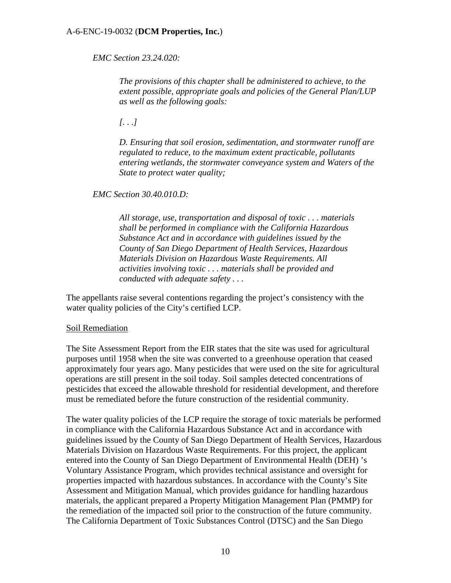*EMC Section 23.24.020:* 

*The provisions of this chapter shall be administered to achieve, to the extent possible, appropriate goals and policies of the General Plan/LUP as well as the following goals:* 

*[. . .]* 

*D. Ensuring that soil erosion, sedimentation, and stormwater runoff are regulated to reduce, to the maximum extent practicable, pollutants entering wetlands, the stormwater conveyance system and Waters of the State to protect water quality;* 

*EMC Section 30.40.010.D:* 

*All storage, use, transportation and disposal of toxic . . . materials shall be performed in compliance with the California Hazardous Substance Act and in accordance with guidelines issued by the County of San Diego Department of Health Services, Hazardous Materials Division on Hazardous Waste Requirements. All activities involving toxic . . . materials shall be provided and conducted with adequate safety . . .* 

The appellants raise several contentions regarding the project's consistency with the water quality policies of the City's certified LCP.

### Soil Remediation

The Site Assessment Report from the EIR states that the site was used for agricultural purposes until 1958 when the site was converted to a greenhouse operation that ceased approximately four years ago. Many pesticides that were used on the site for agricultural operations are still present in the soil today. Soil samples detected concentrations of pesticides that exceed the allowable threshold for residential development, and therefore must be remediated before the future construction of the residential community.

The water quality policies of the LCP require the storage of toxic materials be performed in compliance with the California Hazardous Substance Act and in accordance with guidelines issued by the County of San Diego Department of Health Services, Hazardous Materials Division on Hazardous Waste Requirements. For this project, the applicant entered into the County of San Diego Department of Environmental Health (DEH) 's Voluntary Assistance Program, which provides technical assistance and oversight for properties impacted with hazardous substances. In accordance with the County's Site Assessment and Mitigation Manual, which provides guidance for handling hazardous materials, the applicant prepared a Property Mitigation Management Plan (PMMP) for the remediation of the impacted soil prior to the construction of the future community. The California Department of Toxic Substances Control (DTSC) and the San Diego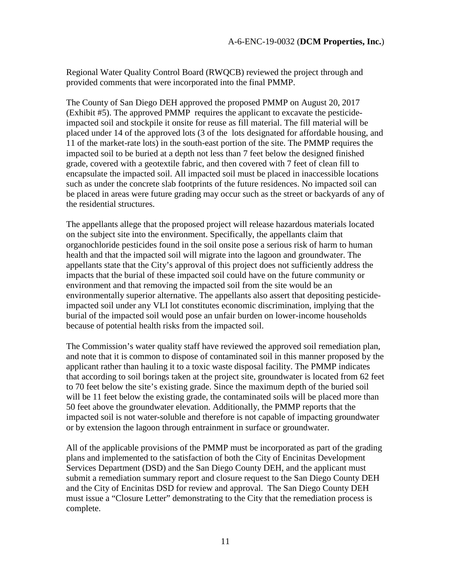Regional Water Quality Control Board (RWQCB) reviewed the project through and provided comments that were incorporated into the final PMMP.

The County of San Diego DEH approved the proposed PMMP on August 20, 2017 (Exhibit #5). The approved PMMP requires the applicant to excavate the pesticideimpacted soil and stockpile it onsite for reuse as fill material. The fill material will be placed under 14 of the approved lots (3 of the lots designated for affordable housing, and 11 of the market-rate lots) in the south-east portion of the site. The PMMP requires the impacted soil to be buried at a depth not less than 7 feet below the designed finished grade, covered with a geotextile fabric, and then covered with 7 feet of clean fill to encapsulate the impacted soil. All impacted soil must be placed in inaccessible locations such as under the concrete slab footprints of the future residences. No impacted soil can be placed in areas were future grading may occur such as the street or backyards of any of the residential structures.

The appellants allege that the proposed project will release hazardous materials located on the subject site into the environment. Specifically, the appellants claim that organochloride pesticides found in the soil onsite pose a serious risk of harm to human health and that the impacted soil will migrate into the lagoon and groundwater. The appellants state that the City's approval of this project does not sufficiently address the impacts that the burial of these impacted soil could have on the future community or environment and that removing the impacted soil from the site would be an environmentally superior alternative. The appellants also assert that depositing pesticideimpacted soil under any VLI lot constitutes economic discrimination, implying that the burial of the impacted soil would pose an unfair burden on lower-income households because of potential health risks from the impacted soil.

The Commission's water quality staff have reviewed the approved soil remediation plan, and note that it is common to dispose of contaminated soil in this manner proposed by the applicant rather than hauling it to a toxic waste disposal facility. The PMMP indicates that according to soil borings taken at the project site, groundwater is located from 62 feet to 70 feet below the site's existing grade. Since the maximum depth of the buried soil will be 11 feet below the existing grade, the contaminated soils will be placed more than 50 feet above the groundwater elevation. Additionally, the PMMP reports that the impacted soil is not water-soluble and therefore is not capable of impacting groundwater or by extension the lagoon through entrainment in surface or groundwater.

All of the applicable provisions of the PMMP must be incorporated as part of the grading plans and implemented to the satisfaction of both the City of Encinitas Development Services Department (DSD) and the San Diego County DEH, and the applicant must submit a remediation summary report and closure request to the San Diego County DEH and the City of Encinitas DSD for review and approval. The San Diego County DEH must issue a "Closure Letter" demonstrating to the City that the remediation process is complete.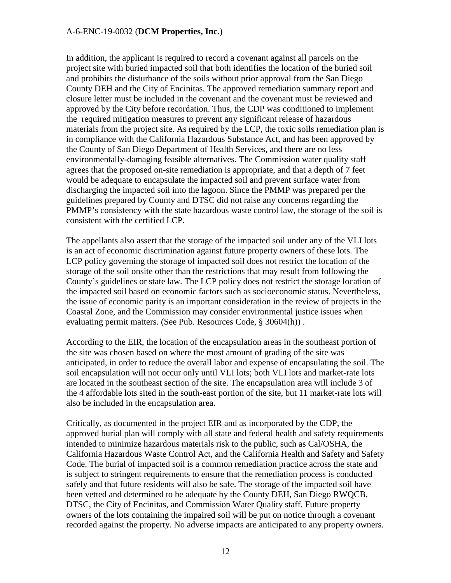In addition, the applicant is required to record a covenant against all parcels on the project site with buried impacted soil that both identifies the location of the buried soil and prohibits the disturbance of the soils without prior approval from the San Diego County DEH and the City of Encinitas. The approved remediation summary report and closure letter must be included in the covenant and the covenant must be reviewed and approved by the City before recordation. Thus, the CDP was conditioned to implement the required mitigation measures to prevent any significant release of hazardous materials from the project site. As required by the LCP, the toxic soils remediation plan is in compliance with the California Hazardous Substance Act, and has been approved by the County of San Diego Department of Health Services, and there are no less environmentally-damaging feasible alternatives. The Commission water quality staff agrees that the proposed on-site remediation is appropriate, and that a depth of 7 feet would be adequate to encapsulate the impacted soil and prevent surface water from discharging the impacted soil into the lagoon. Since the PMMP was prepared per the guidelines prepared by County and DTSC did not raise any concerns regarding the PMMP's consistency with the state hazardous waste control law, the storage of the soil is consistent with the certified LCP.

The appellants also assert that the storage of the impacted soil under any of the VLI lots is an act of economic discrimination against future property owners of these lots. The LCP policy governing the storage of impacted soil does not restrict the location of the storage of the soil onsite other than the restrictions that may result from following the County's guidelines or state law. The LCP policy does not restrict the storage location of the impacted soil based on economic factors such as socioeconomic status. Nevertheless, the issue of economic parity is an important consideration in the review of projects in the Coastal Zone, and the Commission may consider environmental justice issues when evaluating permit matters. (See Pub. Resources Code, § 30604(h)) .

According to the EIR, the location of the encapsulation areas in the southeast portion of the site was chosen based on where the most amount of grading of the site was anticipated, in order to reduce the overall labor and expense of encapsulating the soil. The soil encapsulation will not occur only until VLI lots; both VLI lots and market-rate lots are located in the southeast section of the site. The encapsulation area will include 3 of the 4 affordable lots sited in the south-east portion of the site, but 11 market-rate lots will also be included in the encapsulation area.

Critically, as documented in the project EIR and as incorporated by the CDP, the approved burial plan will comply with all state and federal health and safety requirements intended to minimize hazardous materials risk to the public, such as Cal/OSHA, the California Hazardous Waste Control Act, and the California Health and Safety and Safety Code. The burial of impacted soil is a common remediation practice across the state and is subject to stringent requirements to ensure that the remediation process is conducted safely and that future residents will also be safe. The storage of the impacted soil have been vetted and determined to be adequate by the County DEH, San Diego RWQCB, DTSC, the City of Encinitas, and Commission Water Quality staff. Future property owners of the lots containing the impaired soil will be put on notice through a covenant recorded against the property. No adverse impacts are anticipated to any property owners.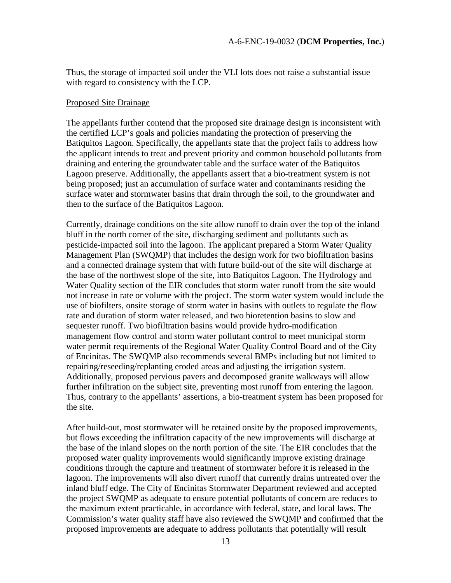Thus, the storage of impacted soil under the VLI lots does not raise a substantial issue with regard to consistency with the LCP.

#### Proposed Site Drainage

The appellants further contend that the proposed site drainage design is inconsistent with the certified LCP's goals and policies mandating the protection of preserving the Batiquitos Lagoon. Specifically, the appellants state that the project fails to address how the applicant intends to treat and prevent priority and common household pollutants from draining and entering the groundwater table and the surface water of the Batiquitos Lagoon preserve. Additionally, the appellants assert that a bio-treatment system is not being proposed; just an accumulation of surface water and contaminants residing the surface water and stormwater basins that drain through the soil, to the groundwater and then to the surface of the Batiquitos Lagoon.

Currently, drainage conditions on the site allow runoff to drain over the top of the inland bluff in the north corner of the site, discharging sediment and pollutants such as pesticide-impacted soil into the lagoon. The applicant prepared a Storm Water Quality Management Plan (SWQMP) that includes the design work for two biofiltration basins and a connected drainage system that with future build-out of the site will discharge at the base of the northwest slope of the site, into Batiquitos Lagoon. The Hydrology and Water Quality section of the EIR concludes that storm water runoff from the site would not increase in rate or volume with the project. The storm water system would include the use of biofilters, onsite storage of storm water in basins with outlets to regulate the flow rate and duration of storm water released, and two bioretention basins to slow and sequester runoff. Two biofiltration basins would provide hydro-modification management flow control and storm water pollutant control to meet municipal storm water permit requirements of the Regional Water Quality Control Board and of the City of Encinitas. The SWQMP also recommends several BMPs including but not limited to repairing/reseeding/replanting eroded areas and adjusting the irrigation system. Additionally, proposed pervious pavers and decomposed granite walkways will allow further infiltration on the subject site, preventing most runoff from entering the lagoon. Thus, contrary to the appellants' assertions, a bio-treatment system has been proposed for the site.

After build-out, most stormwater will be retained onsite by the proposed improvements, but flows exceeding the infiltration capacity of the new improvements will discharge at the base of the inland slopes on the north portion of the site. The EIR concludes that the proposed water quality improvements would significantly improve existing drainage conditions through the capture and treatment of stormwater before it is released in the lagoon. The improvements will also divert runoff that currently drains untreated over the inland bluff edge. The City of Encinitas Stormwater Department reviewed and accepted the project SWQMP as adequate to ensure potential pollutants of concern are reduces to the maximum extent practicable, in accordance with federal, state, and local laws. The Commission's water quality staff have also reviewed the SWQMP and confirmed that the proposed improvements are adequate to address pollutants that potentially will result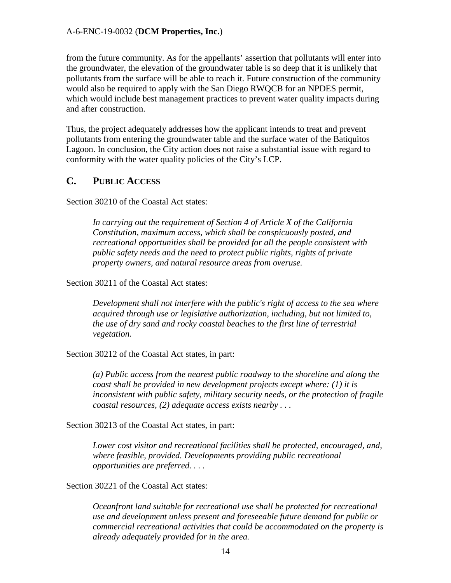from the future community. As for the appellants' assertion that pollutants will enter into the groundwater, the elevation of the groundwater table is so deep that it is unlikely that pollutants from the surface will be able to reach it. Future construction of the community would also be required to apply with the San Diego RWQCB for an NPDES permit, which would include best management practices to prevent water quality impacts during and after construction.

Thus, the project adequately addresses how the applicant intends to treat and prevent pollutants from entering the groundwater table and the surface water of the Batiquitos Lagoon. In conclusion, the City action does not raise a substantial issue with regard to conformity with the water quality policies of the City's LCP.

## <span id="page-13-0"></span>**C. PUBLIC ACCESS**

Section 30210 of the Coastal Act states:

*In carrying out the requirement of Section 4 of Article X of the California Constitution, maximum access, which shall be conspicuously posted, and recreational opportunities shall be provided for all the people consistent with public safety needs and the need to protect public rights, rights of private property owners, and natural resource areas from overuse.* 

Section 30211 of the Coastal Act states:

*Development shall not interfere with the public's right of access to the sea where acquired through use or legislative authorization, including, but not limited to, the use of dry sand and rocky coastal beaches to the first line of terrestrial vegetation.* 

Section 30212 of the Coastal Act states, in part:

*(a) Public access from the nearest public roadway to the shoreline and along the coast shall be provided in new development projects except where: (1) it is inconsistent with public safety, military security needs, or the protection of fragile coastal resources, (2) adequate access exists nearby . . .* 

Section 30213 of the Coastal Act states, in part:

*Lower cost visitor and recreational facilities shall be protected, encouraged, and, where feasible, provided. Developments providing public recreational opportunities are preferred. . . .* 

Section 30221 of the Coastal Act states:

*Oceanfront land suitable for recreational use shall be protected for recreational use and development unless present and foreseeable future demand for public or commercial recreational activities that could be accommodated on the property is already adequately provided for in the area.*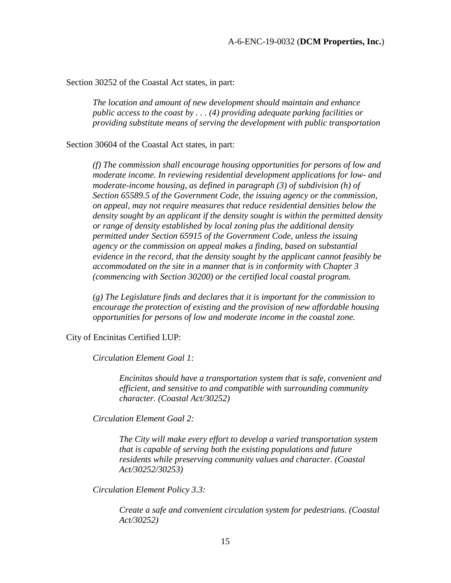Section 30252 of the Coastal Act states, in part:

*The location and amount of new development should maintain and enhance public access to the coast by . . . (4) providing adequate parking facilities or providing substitute means of serving the development with public transportation* 

Section 30604 of the Coastal Act states, in part:

*(f) The commission shall encourage housing opportunities for persons of low and moderate income. In reviewing residential development applications for low- and moderate-income housing, as defined in paragraph (3) of subdivision (h) of Section 65589.5 of the Government Code, the issuing agency or the commission, on appeal, may not require measures that reduce residential densities below the density sought by an applicant if the density sought is within the permitted density or range of density established by local zoning plus the additional density permitted under Section 65915 of the Government Code, unless the issuing agency or the commission on appeal makes a finding, based on substantial evidence in the record, that the density sought by the applicant cannot feasibly be accommodated on the site in a manner that is in conformity with Chapter 3 (commencing with Section 30200) or the certified local coastal program.* 

*(g) The Legislature finds and declares that it is important for the commission to encourage the protection of existing and the provision of new affordable housing opportunities for persons of low and moderate income in the coastal zone.*

City of Encinitas Certified LUP:

*Circulation Element Goal 1:* 

*Encinitas should have a transportation system that is safe, convenient and efficient, and sensitive to and compatible with surrounding community character. (Coastal Act/30252)* 

*Circulation Element Goal 2:* 

*The City will make every effort to develop a varied transportation system that is capable of serving both the existing populations and future residents while preserving community values and character. (Coastal Act/30252/30253)* 

*Circulation Element Policy 3.3:* 

*Create a safe and convenient circulation system for pedestrians. (Coastal Act/30252)*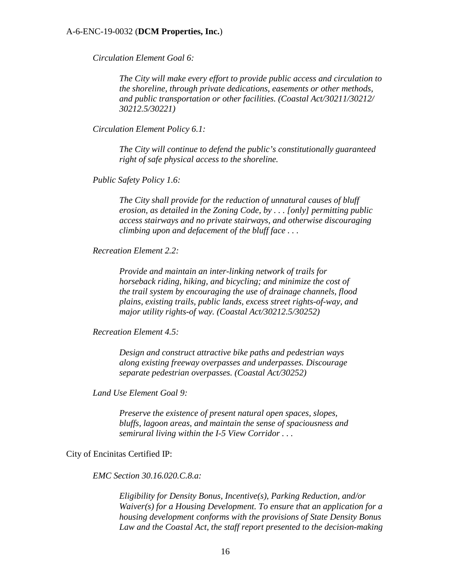*Circulation Element Goal 6:* 

*The City will make every effort to provide public access and circulation to the shoreline, through private dedications, easements or other methods, and public transportation or other facilities. (Coastal Act/30211/30212/ 30212.5/30221)* 

*Circulation Element Policy 6.1:* 

*The City will continue to defend the public's constitutionally guaranteed right of safe physical access to the shoreline.* 

*Public Safety Policy 1.6:* 

*The City shall provide for the reduction of unnatural causes of bluff erosion, as detailed in the Zoning Code, by . . . [only] permitting public access stairways and no private stairways, and otherwise discouraging climbing upon and defacement of the bluff face . . .* 

*Recreation Element 2.2:* 

*Provide and maintain an inter-linking network of trails for horseback riding, hiking, and bicycling; and minimize the cost of the trail system by encouraging the use of drainage channels, flood plains, existing trails, public lands, excess street rights-of-way, and major utility rights-of way. (Coastal Act/30212.5/30252)* 

*Recreation Element 4.5:* 

*Design and construct attractive bike paths and pedestrian ways along existing freeway overpasses and underpasses. Discourage separate pedestrian overpasses. (Coastal Act/30252)* 

*Land Use Element Goal 9:* 

*Preserve the existence of present natural open spaces, slopes, bluffs, lagoon areas, and maintain the sense of spaciousness and semirural living within the I-5 View Corridor . . .* 

City of Encinitas Certified IP:

*EMC Section 30.16.020.C.8.a:* 

*Eligibility for Density Bonus, Incentive(s), Parking Reduction, and/or Waiver(s) for a Housing Development. To ensure that an application for a housing development conforms with the provisions of State Density Bonus Law and the Coastal Act, the staff report presented to the decision-making*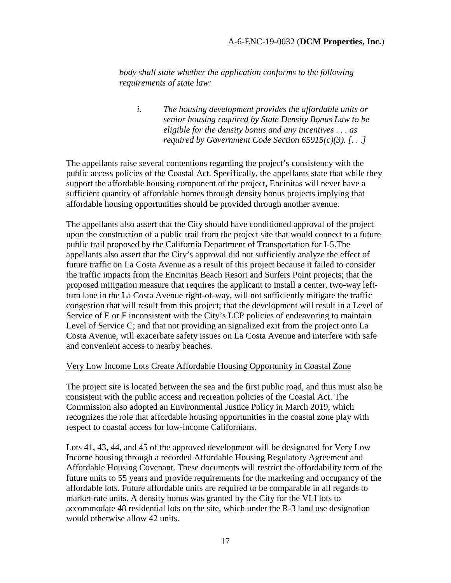*body shall state whether the application conforms to the following requirements of state law:* 

*i. The housing development provides the affordable units or senior housing required by State Density Bonus Law to be eligible for the density bonus and any incentives . . . as required by [Government Code](http://www.qcode.us/codes/othercode.php?state=ca&code=gov) Section 65915(c)(3). [. . .]* 

The appellants raise several contentions regarding the project's consistency with the public access policies of the Coastal Act. Specifically, the appellants state that while they support the affordable housing component of the project, Encinitas will never have a sufficient quantity of affordable homes through density bonus projects implying that affordable housing opportunities should be provided through another avenue.

The appellants also assert that the City should have conditioned approval of the project upon the construction of a public trail from the project site that would connect to a future public trail proposed by the California Department of Transportation for I-5.The appellants also assert that the City's approval did not sufficiently analyze the effect of future traffic on La Costa Avenue as a result of this project because it failed to consider the traffic impacts from the Encinitas Beach Resort and Surfers Point projects; that the proposed mitigation measure that requires the applicant to install a center, two-way leftturn lane in the La Costa Avenue right-of-way, will not sufficiently mitigate the traffic congestion that will result from this project; that the development will result in a Level of Service of E or F inconsistent with the City's LCP policies of endeavoring to maintain Level of Service C; and that not providing an signalized exit from the project onto La Costa Avenue, will exacerbate safety issues on La Costa Avenue and interfere with safe and convenient access to nearby beaches.

### Very Low Income Lots Create Affordable Housing Opportunity in Coastal Zone

The project site is located between the sea and the first public road, and thus must also be consistent with the public access and recreation policies of the Coastal Act. The Commission also adopted an Environmental Justice Policy in March 2019, which recognizes the role that affordable housing opportunities in the coastal zone play with respect to coastal access for low-income Californians.

Lots 41, 43, 44, and 45 of the approved development will be designated for Very Low Income housing through a recorded Affordable Housing Regulatory Agreement and Affordable Housing Covenant. These documents will restrict the affordability term of the future units to 55 years and provide requirements for the marketing and occupancy of the affordable lots. Future affordable units are required to be comparable in all regards to market-rate units. A density bonus was granted by the City for the VLI lots to accommodate 48 residential lots on the site, which under the R-3 land use designation would otherwise allow 42 units.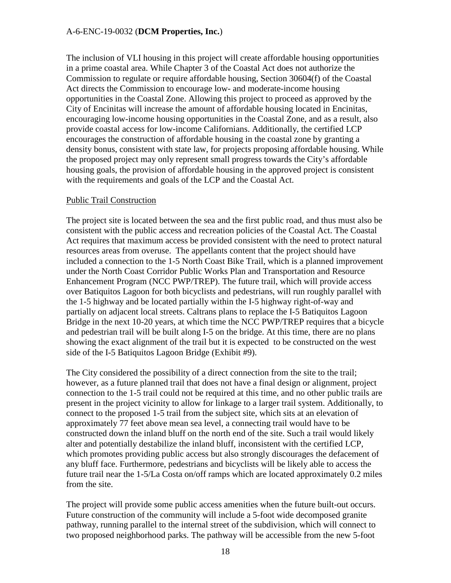The inclusion of VLI housing in this project will create affordable housing opportunities in a prime coastal area. While Chapter 3 of the Coastal Act does not authorize the Commission to regulate or require affordable housing, Section 30604(f) of the Coastal Act directs the Commission to encourage low- and moderate-income housing opportunities in the Coastal Zone. Allowing this project to proceed as approved by the City of Encinitas will increase the amount of affordable housing located in Encinitas, encouraging low-income housing opportunities in the Coastal Zone, and as a result, also provide coastal access for low-income Californians. Additionally, the certified LCP encourages the construction of affordable housing in the coastal zone by granting a density bonus, consistent with state law, for projects proposing affordable housing. While the proposed project may only represent small progress towards the City's affordable housing goals, the provision of affordable housing in the approved project is consistent with the requirements and goals of the LCP and the Coastal Act.

## Public Trail Construction

The project site is located between the sea and the first public road, and thus must also be consistent with the public access and recreation policies of the Coastal Act. The Coastal Act requires that maximum access be provided consistent with the need to protect natural resources areas from overuse. The appellants content that the project should have included a connection to the 1-5 North Coast Bike Trail, which is a planned improvement under the North Coast Corridor Public Works Plan and Transportation and Resource Enhancement Program (NCC PWP/TREP). The future trail, which will provide access over Batiquitos Lagoon for both bicyclists and pedestrians, will run roughly parallel with the 1-5 highway and be located partially within the I-5 highway right-of-way and partially on adjacent local streets. Caltrans plans to replace the I-5 Batiquitos Lagoon Bridge in the next 10-20 years, at which time the NCC PWP/TREP requires that a bicycle and pedestrian trail will be built along I-5 on the bridge. At this time, there are no plans showing the exact alignment of the trail but it is expected to be constructed on the west side of the I-5 Batiquitos Lagoon Bridge (Exhibit #9).

The City considered the possibility of a direct connection from the site to the trail; however, as a future planned trail that does not have a final design or alignment, project connection to the 1-5 trail could not be required at this time, and no other public trails are present in the project vicinity to allow for linkage to a larger trail system. Additionally, to connect to the proposed 1-5 trail from the subject site, which sits at an elevation of approximately 77 feet above mean sea level, a connecting trail would have to be constructed down the inland bluff on the north end of the site. Such a trail would likely alter and potentially destabilize the inland bluff, inconsistent with the certified LCP, which promotes providing public access but also strongly discourages the defacement of any bluff face. Furthermore, pedestrians and bicyclists will be likely able to access the future trail near the 1-5/La Costa on/off ramps which are located approximately 0.2 miles from the site.

The project will provide some public access amenities when the future built-out occurs. Future construction of the community will include a 5-foot wide decomposed granite pathway, running parallel to the internal street of the subdivision, which will connect to two proposed neighborhood parks. The pathway will be accessible from the new 5-foot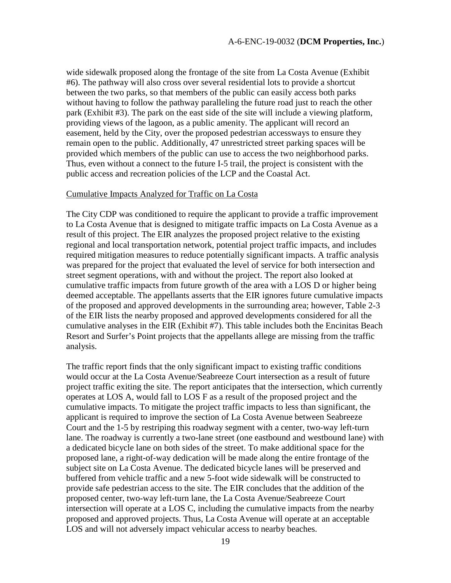wide sidewalk proposed along the frontage of the site from La Costa Avenue (Exhibit #6). The pathway will also cross over several residential lots to provide a shortcut between the two parks, so that members of the public can easily access both parks without having to follow the pathway paralleling the future road just to reach the other park (Exhibit #3). The park on the east side of the site will include a viewing platform, providing views of the lagoon, as a public amenity. The applicant will record an easement, held by the City, over the proposed pedestrian accessways to ensure they remain open to the public. Additionally, 47 unrestricted street parking spaces will be provided which members of the public can use to access the two neighborhood parks. Thus, even without a connect to the future I-5 trail, the project is consistent with the public access and recreation policies of the LCP and the Coastal Act.

### Cumulative Impacts Analyzed for Traffic on La Costa

The City CDP was conditioned to require the applicant to provide a traffic improvement to La Costa Avenue that is designed to mitigate traffic impacts on La Costa Avenue as a result of this project. The EIR analyzes the proposed project relative to the existing regional and local transportation network, potential project traffic impacts, and includes required mitigation measures to reduce potentially significant impacts. A traffic analysis was prepared for the project that evaluated the level of service for both intersection and street segment operations, with and without the project. The report also looked at cumulative traffic impacts from future growth of the area with a LOS D or higher being deemed acceptable. The appellants asserts that the EIR ignores future cumulative impacts of the proposed and approved developments in the surrounding area; however, Table 2-3 of the EIR lists the nearby proposed and approved developments considered for all the cumulative analyses in the EIR (Exhibit #7). This table includes both the Encinitas Beach Resort and Surfer's Point projects that the appellants allege are missing from the traffic analysis.

The traffic report finds that the only significant impact to existing traffic conditions would occur at the La Costa Avenue/Seabreeze Court intersection as a result of future project traffic exiting the site. The report anticipates that the intersection, which currently operates at LOS A, would fall to LOS F as a result of the proposed project and the cumulative impacts. To mitigate the project traffic impacts to less than significant, the applicant is required to improve the section of La Costa Avenue between Seabreeze Court and the 1-5 by restriping this roadway segment with a center, two-way left-turn lane. The roadway is currently a two-lane street (one eastbound and westbound lane) with a dedicated bicycle lane on both sides of the street. To make additional space for the proposed lane, a right-of-way dedication will be made along the entire frontage of the subject site on La Costa Avenue. The dedicated bicycle lanes will be preserved and buffered from vehicle traffic and a new 5-foot wide sidewalk will be constructed to provide safe pedestrian access to the site. The EIR concludes that the addition of the proposed center, two-way left-turn lane, the La Costa Avenue/Seabreeze Court intersection will operate at a LOS C, including the cumulative impacts from the nearby proposed and approved projects. Thus, La Costa Avenue will operate at an acceptable LOS and will not adversely impact vehicular access to nearby beaches.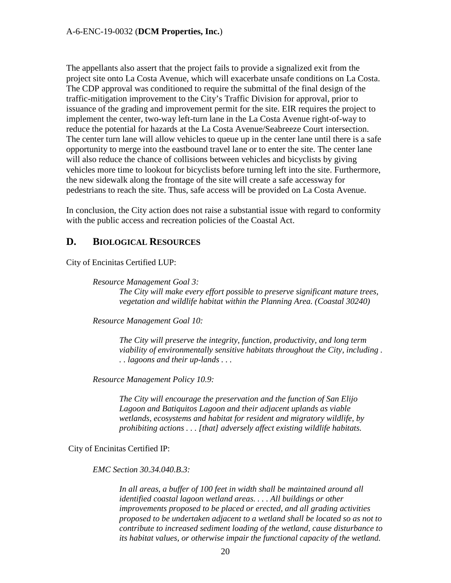The appellants also assert that the project fails to provide a signalized exit from the project site onto La Costa Avenue, which will exacerbate unsafe conditions on La Costa. The CDP approval was conditioned to require the submittal of the final design of the traffic-mitigation improvement to the City's Traffic Division for approval, prior to issuance of the grading and improvement permit for the site. EIR requires the project to implement the center, two-way left-turn lane in the La Costa Avenue right-of-way to reduce the potential for hazards at the La Costa Avenue/Seabreeze Court intersection. The center turn lane will allow vehicles to queue up in the center lane until there is a safe opportunity to merge into the eastbound travel lane or to enter the site. The center lane will also reduce the chance of collisions between vehicles and bicyclists by giving vehicles more time to lookout for bicyclists before turning left into the site. Furthermore, the new sidewalk along the frontage of the site will create a safe accessway for pedestrians to reach the site. Thus, safe access will be provided on La Costa Avenue.

In conclusion, the City action does not raise a substantial issue with regard to conformity with the public access and recreation policies of the Coastal Act.

# <span id="page-19-0"></span>**D. BIOLOGICAL RESOURCES**

City of Encinitas Certified LUP:

*Resource Management Goal 3:* 

*The City will make every effort possible to preserve significant mature trees, vegetation and wildlife habitat within the Planning Area. (Coastal 30240)* 

*Resource Management Goal 10:* 

*The City will preserve the integrity, function, productivity, and long term viability of environmentally sensitive habitats throughout the City, including . . . lagoons and their up-lands . . .* 

*Resource Management Policy 10.9:* 

*The City will encourage the preservation and the function of San Elijo Lagoon and Batiquitos Lagoon and their adjacent uplands as viable wetlands, ecosystems and habitat for resident and migratory wildlife, by prohibiting actions . . . [that] adversely affect existing wildlife habitats.* 

City of Encinitas Certified IP:

*EMC Section 30.34.040.B.3:* 

*In all areas, a buffer of 100 feet in width shall be maintained around all identified coastal lagoon wetland areas. . . . All buildings or other improvements proposed to be placed or erected, and all grading activities proposed to be undertaken adjacent to a wetland shall be located so as not to contribute to increased sediment loading of the wetland, cause disturbance to its habitat values, or otherwise impair the functional capacity of the wetland.*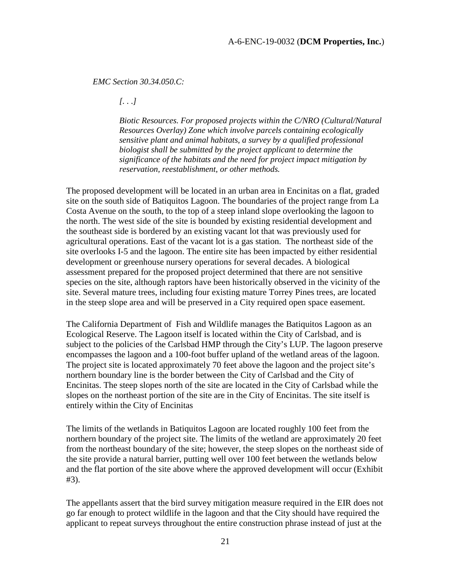#### *EMC Section 30.34.050.C:*

*[. . .]* 

*Biotic Resources. For proposed projects within the C/NRO (Cultural/Natural Resources Overlay) Zone which involve parcels containing ecologically sensitive plant and animal habitats, a survey by a qualified professional biologist shall be submitted by the project applicant to determine the significance of the habitats and the need for project impact mitigation by reservation, reestablishment, or other methods.* 

The proposed development will be located in an urban area in Encinitas on a flat, graded site on the south side of Batiquitos Lagoon. The boundaries of the project range from La Costa Avenue on the south, to the top of a steep inland slope overlooking the lagoon to the north. The west side of the site is bounded by existing residential development and the southeast side is bordered by an existing vacant lot that was previously used for agricultural operations. East of the vacant lot is a gas station. The northeast side of the site overlooks I-5 and the lagoon. The entire site has been impacted by either residential development or greenhouse nursery operations for several decades. A biological assessment prepared for the proposed project determined that there are not sensitive species on the site, although raptors have been historically observed in the vicinity of the site. Several mature trees, including four existing mature Torrey Pines trees, are located in the steep slope area and will be preserved in a City required open space easement.

The California Department of Fish and Wildlife manages the Batiquitos Lagoon as an Ecological Reserve. The Lagoon itself is located within the City of Carlsbad, and is subject to the policies of the Carlsbad HMP through the City's LUP. The lagoon preserve encompasses the lagoon and a 100-foot buffer upland of the wetland areas of the lagoon. The project site is located approximately 70 feet above the lagoon and the project site's northern boundary line is the border between the City of Carlsbad and the City of Encinitas. The steep slopes north of the site are located in the City of Carlsbad while the slopes on the northeast portion of the site are in the City of Encinitas. The site itself is entirely within the City of Encinitas

The limits of the wetlands in Batiquitos Lagoon are located roughly 100 feet from the northern boundary of the project site. The limits of the wetland are approximately 20 feet from the northeast boundary of the site; however, the steep slopes on the northeast side of the site provide a natural barrier, putting well over 100 feet between the wetlands below and the flat portion of the site above where the approved development will occur (Exhibit #3).

The appellants assert that the bird survey mitigation measure required in the EIR does not go far enough to protect wildlife in the lagoon and that the City should have required the applicant to repeat surveys throughout the entire construction phrase instead of just at the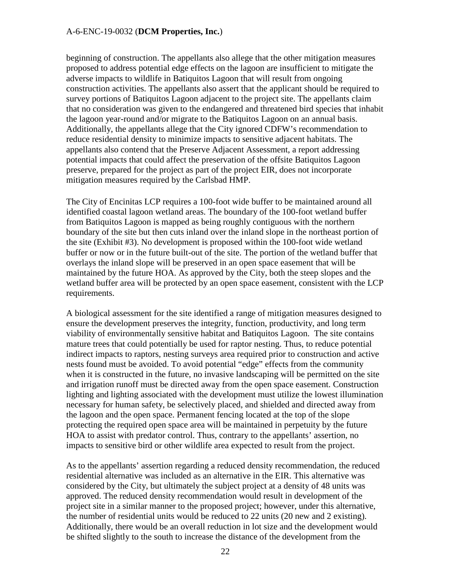beginning of construction. The appellants also allege that the other mitigation measures proposed to address potential edge effects on the lagoon are insufficient to mitigate the adverse impacts to wildlife in Batiquitos Lagoon that will result from ongoing construction activities. The appellants also assert that the applicant should be required to survey portions of Batiquitos Lagoon adjacent to the project site. The appellants claim that no consideration was given to the endangered and threatened bird species that inhabit the lagoon year-round and/or migrate to the Batiquitos Lagoon on an annual basis. Additionally, the appellants allege that the City ignored CDFW's recommendation to reduce residential density to minimize impacts to sensitive adjacent habitats. The appellants also contend that the Preserve Adjacent Assessment, a report addressing potential impacts that could affect the preservation of the offsite Batiquitos Lagoon preserve, prepared for the project as part of the project EIR, does not incorporate mitigation measures required by the Carlsbad HMP.

The City of Encinitas LCP requires a 100-foot wide buffer to be maintained around all identified coastal lagoon wetland areas. The boundary of the 100-foot wetland buffer from Batiquitos Lagoon is mapped as being roughly contiguous with the northern boundary of the site but then cuts inland over the inland slope in the northeast portion of the site (Exhibit #3). No development is proposed within the 100-foot wide wetland buffer or now or in the future built-out of the site. The portion of the wetland buffer that overlays the inland slope will be preserved in an open space easement that will be maintained by the future HOA. As approved by the City, both the steep slopes and the wetland buffer area will be protected by an open space easement, consistent with the LCP requirements.

A biological assessment for the site identified a range of mitigation measures designed to ensure the development preserves the integrity, function, productivity, and long term viability of environmentally sensitive habitat and Batiquitos Lagoon. The site contains mature trees that could potentially be used for raptor nesting. Thus, to reduce potential indirect impacts to raptors, nesting surveys area required prior to construction and active nests found must be avoided. To avoid potential "edge" effects from the community when it is constructed in the future, no invasive landscaping will be permitted on the site and irrigation runoff must be directed away from the open space easement. Construction lighting and lighting associated with the development must utilize the lowest illumination necessary for human safety, be selectively placed, and shielded and directed away from the lagoon and the open space. Permanent fencing located at the top of the slope protecting the required open space area will be maintained in perpetuity by the future HOA to assist with predator control. Thus, contrary to the appellants' assertion, no impacts to sensitive bird or other wildlife area expected to result from the project.

As to the appellants' assertion regarding a reduced density recommendation, the reduced residential alternative was included as an alternative in the EIR. This alternative was considered by the City, but ultimately the subject project at a density of 48 units was approved. The reduced density recommendation would result in development of the project site in a similar manner to the proposed project; however, under this alternative, the number of residential units would be reduced to 22 units (20 new and 2 existing). Additionally, there would be an overall reduction in lot size and the development would be shifted slightly to the south to increase the distance of the development from the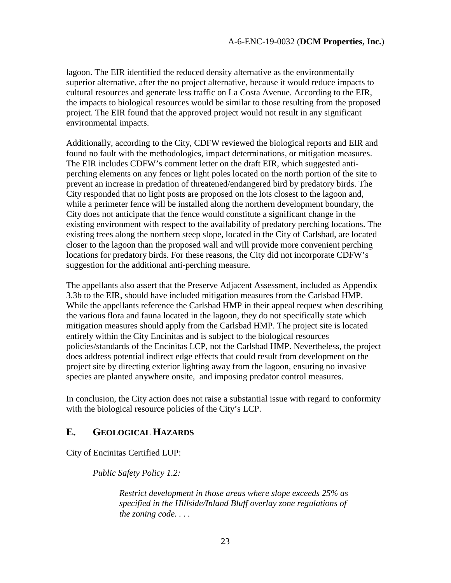lagoon. The EIR identified the reduced density alternative as the environmentally superior alternative, after the no project alternative, because it would reduce impacts to cultural resources and generate less traffic on La Costa Avenue. According to the EIR, the impacts to biological resources would be similar to those resulting from the proposed project. The EIR found that the approved project would not result in any significant environmental impacts.

Additionally, according to the City, CDFW reviewed the biological reports and EIR and found no fault with the methodologies, impact determinations, or mitigation measures. The EIR includes CDFW's comment letter on the draft EIR, which suggested antiperching elements on any fences or light poles located on the north portion of the site to prevent an increase in predation of threatened/endangered bird by predatory birds. The City responded that no light posts are proposed on the lots closest to the lagoon and, while a perimeter fence will be installed along the northern development boundary, the City does not anticipate that the fence would constitute a significant change in the existing environment with respect to the availability of predatory perching locations. The existing trees along the northern steep slope, located in the City of Carlsbad, are located closer to the lagoon than the proposed wall and will provide more convenient perching locations for predatory birds. For these reasons, the City did not incorporate CDFW's suggestion for the additional anti-perching measure.

The appellants also assert that the Preserve Adjacent Assessment, included as Appendix 3.3b to the EIR, should have included mitigation measures from the Carlsbad HMP. While the appellants reference the Carlsbad HMP in their appeal request when describing the various flora and fauna located in the lagoon, they do not specifically state which mitigation measures should apply from the Carlsbad HMP. The project site is located entirely within the City Encinitas and is subject to the biological resources policies/standards of the Encinitas LCP, not the Carlsbad HMP. Nevertheless, the project does address potential indirect edge effects that could result from development on the project site by directing exterior lighting away from the lagoon, ensuring no invasive species are planted anywhere onsite, and imposing predator control measures.

In conclusion, the City action does not raise a substantial issue with regard to conformity with the biological resource policies of the City's LCP.

# <span id="page-22-0"></span>**E. GEOLOGICAL HAZARDS**

City of Encinitas Certified LUP:

*Public Safety Policy 1.2:* 

*Restrict development in those areas where slope exceeds 25% as specified in the Hillside/Inland Bluff overlay zone regulations of the zoning code. . . .*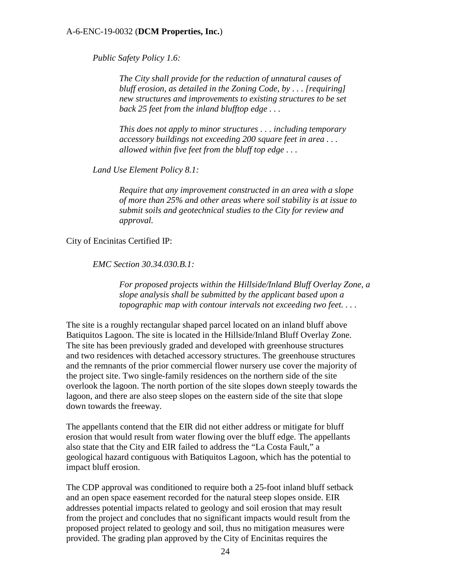*Public Safety Policy 1.6:* 

*The City shall provide for the reduction of unnatural causes of bluff erosion, as detailed in the Zoning Code, by . . . [requiring] new structures and improvements to existing structures to be set back 25 feet from the inland blufftop edge . . .* 

*This does not apply to minor structures . . . including temporary accessory buildings not exceeding 200 square feet in area . . . allowed within five feet from the bluff top edge . . .* 

*Land Use Element Policy 8.1:* 

*Require that any improvement constructed in an area with a slope of more than 25% and other areas where soil stability is at issue to submit soils and geotechnical studies to the City for review and approval.* 

City of Encinitas Certified IP:

*EMC Section 30.34.030.B.1:* 

*For proposed projects within the Hillside/Inland Bluff Overlay Zone, a slope analysis shall be submitted by the applicant based upon a topographic map with contour intervals not exceeding two feet. . . .* 

The site is a roughly rectangular shaped parcel located on an inland bluff above Batiquitos Lagoon. The site is located in the Hillside/Inland Bluff Overlay Zone. The site has been previously graded and developed with greenhouse structures and two residences with detached accessory structures. The greenhouse structures and the remnants of the prior commercial flower nursery use cover the majority of the project site. Two single-family residences on the northern side of the site overlook the lagoon. The north portion of the site slopes down steeply towards the lagoon, and there are also steep slopes on the eastern side of the site that slope down towards the freeway.

The appellants contend that the EIR did not either address or mitigate for bluff erosion that would result from water flowing over the bluff edge. The appellants also state that the City and EIR failed to address the "La Costa Fault," a geological hazard contiguous with Batiquitos Lagoon, which has the potential to impact bluff erosion.

The CDP approval was conditioned to require both a 25-foot inland bluff setback and an open space easement recorded for the natural steep slopes onside. EIR addresses potential impacts related to geology and soil erosion that may result from the project and concludes that no significant impacts would result from the proposed project related to geology and soil, thus no mitigation measures were provided. The grading plan approved by the City of Encinitas requires the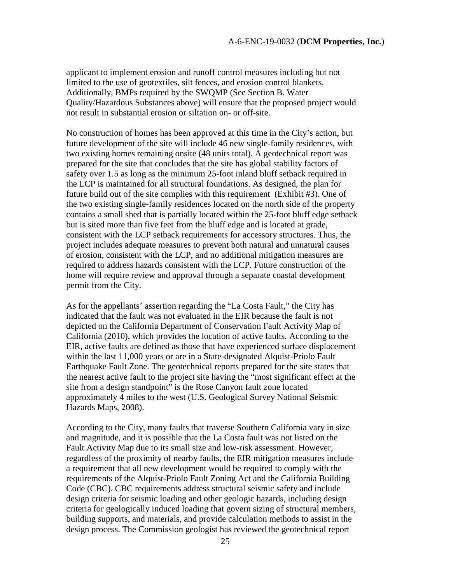applicant to implement erosion and runoff control measures including but not limited to the use of geotextiles, silt fences, and erosion control blankets. Additionally, BMPs required by the SWQMP (See Section B. Water Quality/Hazardous Substances above) will ensure that the proposed project would not result in substantial erosion or siltation on- or off-site.

No construction of homes has been approved at this time in the City's action, but future development of the site will include 46 new single-family residences, with two existing homes remaining onsite (48 units total). A geotechnical report was prepared for the site that concludes that the site has global stability factors of safety over 1.5 as long as the minimum 25-foot inland bluff setback required in the LCP is maintained for all structural foundations. As designed, the plan for future build out of the site complies with this requirement (Exhibit #3). One of the two existing single-family residences located on the north side of the property contains a small shed that is partially located within the 25-foot bluff edge setback but is sited more than five feet from the bluff edge and is located at grade, consistent with the LCP setback requirements for accessory structures. Thus, the project includes adequate measures to prevent both natural and unnatural causes of erosion, consistent with the LCP, and no additional mitigation measures are required to address hazards consistent with the LCP. Future construction of the home will require review and approval through a separate coastal development permit from the City.

As for the appellants' assertion regarding the "La Costa Fault," the City has indicated that the fault was not evaluated in the EIR because the fault is not depicted on the California Department of Conservation Fault Activity Map of California (2010), which provides the location of active faults. According to the EIR, active faults are defined as those that have experienced surface displacement within the last 11,000 years or are in a State-designated Alquist-Priolo Fault Earthquake Fault Zone. The geotechnical reports prepared for the site states that the nearest active fault to the project site having the "most significant effect at the site from a design standpoint" is the Rose Canyon fault zone located approximately 4 miles to the west (U.S. Geological Survey National Seismic Hazards Maps, 2008).

According to the City, many faults that traverse Southern California vary in size and magnitude, and it is possible that the La Costa fault was not listed on the Fault Activity Map due to its small size and low-risk assessment. However, regardless of the proximity of nearby faults, the EIR mitigation measures include a requirement that all new development would be required to comply with the requirements of the Alquist-Priolo Fault Zoning Act and the California Building Code (CBC). CBC requirements address structural seismic safety and include design criteria for seismic loading and other geologic hazards, including design criteria for geologically induced loading that govern sizing of structural members, building supports, and materials, and provide calculation methods to assist in the design process. The Commission geologist has reviewed the geotechnical report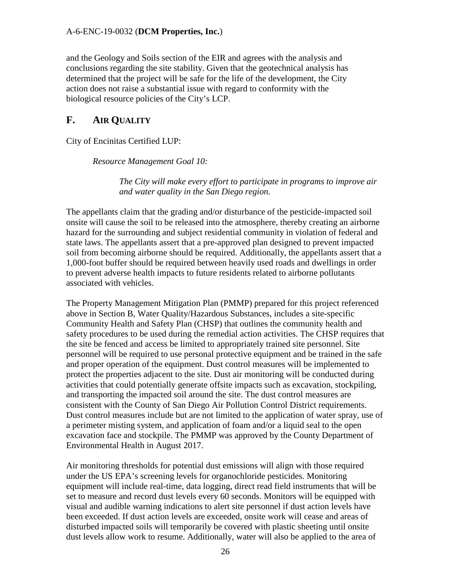and the Geology and Soils section of the EIR and agrees with the analysis and conclusions regarding the site stability. Given that the geotechnical analysis has determined that the project will be safe for the life of the development, the City action does not raise a substantial issue with regard to conformity with the biological resource policies of the City's LCP.

# <span id="page-25-0"></span>**F. AIR QUALITY**

City of Encinitas Certified LUP:

*Resource Management Goal 10:* 

*The City will make every effort to participate in programs to improve air and water quality in the San Diego region.* 

The appellants claim that the grading and/or disturbance of the pesticide-impacted soil onsite will cause the soil to be released into the atmosphere, thereby creating an airborne hazard for the surrounding and subject residential community in violation of federal and state laws. The appellants assert that a pre-approved plan designed to prevent impacted soil from becoming airborne should be required. Additionally, the appellants assert that a 1,000-foot buffer should be required between heavily used roads and dwellings in order to prevent adverse health impacts to future residents related to airborne pollutants associated with vehicles.

The Property Management Mitigation Plan (PMMP) prepared for this project referenced above in Section B, Water Quality/Hazardous Substances, includes a site-specific Community Health and Safety Plan (CHSP) that outlines the community health and safety procedures to be used during the remedial action activities. The CHSP requires that the site be fenced and access be limited to appropriately trained site personnel. Site personnel will be required to use personal protective equipment and be trained in the safe and proper operation of the equipment. Dust control measures will be implemented to protect the properties adjacent to the site. Dust air monitoring will be conducted during activities that could potentially generate offsite impacts such as excavation, stockpiling, and transporting the impacted soil around the site. The dust control measures are consistent with the County of San Diego Air Pollution Control District requirements. Dust control measures include but are not limited to the application of water spray, use of a perimeter misting system, and application of foam and/or a liquid seal to the open excavation face and stockpile. The PMMP was approved by the County Department of Environmental Health in August 2017.

Air monitoring thresholds for potential dust emissions will align with those required under the US EPA's screening levels for organochloride pesticides. Monitoring equipment will include real-time, data logging, direct read field instruments that will be set to measure and record dust levels every 60 seconds. Monitors will be equipped with visual and audible warning indications to alert site personnel if dust action levels have been exceeded. If dust action levels are exceeded, onsite work will cease and areas of disturbed impacted soils will temporarily be covered with plastic sheeting until onsite dust levels allow work to resume. Additionally, water will also be applied to the area of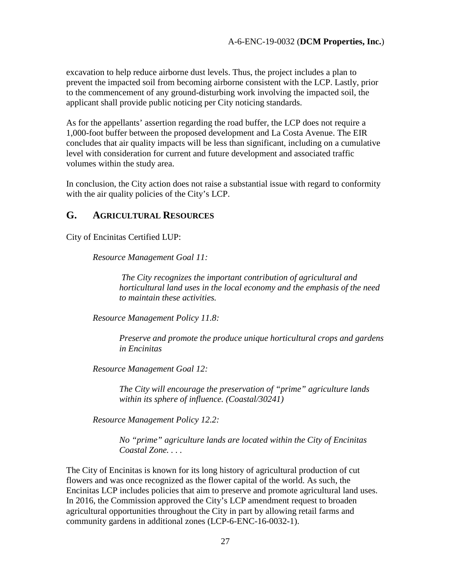excavation to help reduce airborne dust levels. Thus, the project includes a plan to prevent the impacted soil from becoming airborne consistent with the LCP. Lastly, prior to the commencement of any ground-disturbing work involving the impacted soil, the applicant shall provide public noticing per City noticing standards.

As for the appellants' assertion regarding the road buffer, the LCP does not require a 1,000-foot buffer between the proposed development and La Costa Avenue. The EIR concludes that air quality impacts will be less than significant, including on a cumulative level with consideration for current and future development and associated traffic volumes within the study area.

In conclusion, the City action does not raise a substantial issue with regard to conformity with the air quality policies of the City's LCP.

## <span id="page-26-0"></span>**G. AGRICULTURAL RESOURCES**

City of Encinitas Certified LUP:

*Resource Management Goal 11:* 

 *The City recognizes the important contribution of agricultural and horticultural land uses in the local economy and the emphasis of the need to maintain these activities.*

*Resource Management Policy 11.8:* 

*Preserve and promote the produce unique horticultural crops and gardens in Encinitas* 

*Resource Management Goal 12:* 

*The City will encourage the preservation of "prime" agriculture lands within its sphere of influence. (Coastal/30241)* 

*Resource Management Policy 12.2:* 

*No "prime" agriculture lands are located within the City of Encinitas Coastal Zone. . . .* 

The City of Encinitas is known for its long history of agricultural production of cut flowers and was once recognized as the flower capital of the world. As such, the Encinitas LCP includes policies that aim to preserve and promote agricultural land uses. In 2016, the Commission approved the City's LCP amendment request to broaden agricultural opportunities throughout the City in part by allowing retail farms and community gardens in additional zones (LCP-6-ENC-16-0032-1).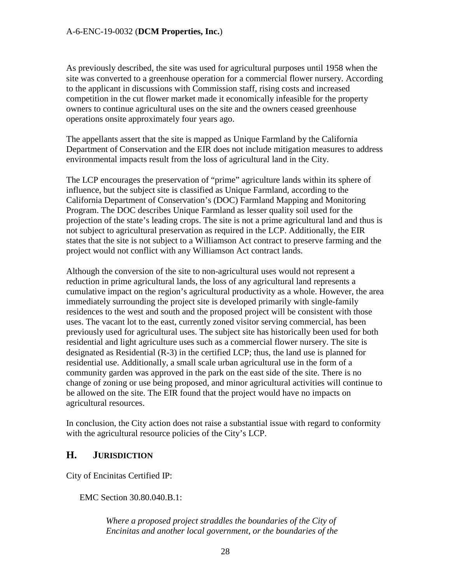As previously described, the site was used for agricultural purposes until 1958 when the site was converted to a greenhouse operation for a commercial flower nursery. According to the applicant in discussions with Commission staff, rising costs and increased competition in the cut flower market made it economically infeasible for the property owners to continue agricultural uses on the site and the owners ceased greenhouse operations onsite approximately four years ago.

The appellants assert that the site is mapped as Unique Farmland by the California Department of Conservation and the EIR does not include mitigation measures to address environmental impacts result from the loss of agricultural land in the City.

The LCP encourages the preservation of "prime" agriculture lands within its sphere of influence, but the subject site is classified as Unique Farmland, according to the California Department of Conservation's (DOC) Farmland Mapping and Monitoring Program. The DOC describes Unique Farmland as lesser quality soil used for the projection of the state's leading crops. The site is not a prime agricultural land and thus is not subject to agricultural preservation as required in the LCP. Additionally, the EIR states that the site is not subject to a Williamson Act contract to preserve farming and the project would not conflict with any Williamson Act contract lands.

Although the conversion of the site to non-agricultural uses would not represent a reduction in prime agricultural lands, the loss of any agricultural land represents a cumulative impact on the region's agricultural productivity as a whole. However, the area immediately surrounding the project site is developed primarily with single-family residences to the west and south and the proposed project will be consistent with those uses. The vacant lot to the east, currently zoned visitor serving commercial, has been previously used for agricultural uses. The subject site has historically been used for both residential and light agriculture uses such as a commercial flower nursery. The site is designated as Residential (R-3) in the certified LCP; thus, the land use is planned for residential use. Additionally, a small scale urban agricultural use in the form of a community garden was approved in the park on the east side of the site. There is no change of zoning or use being proposed, and minor agricultural activities will continue to be allowed on the site. The EIR found that the project would have no impacts on agricultural resources.

In conclusion, the City action does not raise a substantial issue with regard to conformity with the agricultural resource policies of the City's LCP.

# <span id="page-27-0"></span>**H. JURISDICTION**

City of Encinitas Certified IP:

EMC Section 30.80.040.B.1:

*Where a proposed project straddles the boundaries of the City of Encinitas and another local government, or the boundaries of the*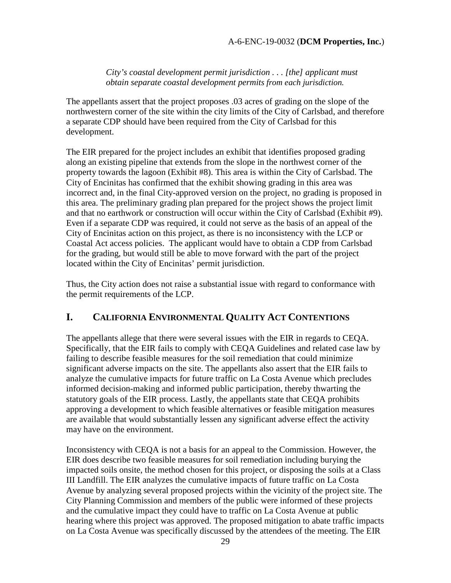*City's coastal development permit jurisdiction . . . [the] applicant must obtain separate coastal development permits from each jurisdiction.* 

The appellants assert that the project proposes .03 acres of grading on the slope of the northwestern corner of the site within the city limits of the City of Carlsbad, and therefore a separate CDP should have been required from the City of Carlsbad for this development.

The EIR prepared for the project includes an exhibit that identifies proposed grading along an existing pipeline that extends from the slope in the northwest corner of the property towards the lagoon (Exhibit #8). This area is within the City of Carlsbad. The City of Encinitas has confirmed that the exhibit showing grading in this area was incorrect and, in the final City-approved version on the project, no grading is proposed in this area. The preliminary grading plan prepared for the project shows the project limit and that no earthwork or construction will occur within the City of Carlsbad (Exhibit #9). Even if a separate CDP was required, it could not serve as the basis of an appeal of the City of Encinitas action on this project, as there is no inconsistency with the LCP or Coastal Act access policies. The applicant would have to obtain a CDP from Carlsbad for the grading, but would still be able to move forward with the part of the project located within the City of Encinitas' permit jurisdiction.

Thus, the City action does not raise a substantial issue with regard to conformance with the permit requirements of the LCP.

# <span id="page-28-0"></span>**I. CALIFORNIA ENVIRONMENTAL QUALITY ACT CONTENTIONS**

The appellants allege that there were several issues with the EIR in regards to CEQA. Specifically, that the EIR fails to comply with CEQA Guidelines and related case law by failing to describe feasible measures for the soil remediation that could minimize significant adverse impacts on the site. The appellants also assert that the EIR fails to analyze the cumulative impacts for future traffic on La Costa Avenue which precludes informed decision-making and informed public participation, thereby thwarting the statutory goals of the EIR process. Lastly, the appellants state that CEQA prohibits approving a development to which feasible alternatives or feasible mitigation measures are available that would substantially lessen any significant adverse effect the activity may have on the environment.

Inconsistency with CEQA is not a basis for an appeal to the Commission. However, the EIR does describe two feasible measures for soil remediation including burying the impacted soils onsite, the method chosen for this project, or disposing the soils at a Class III Landfill. The EIR analyzes the cumulative impacts of future traffic on La Costa Avenue by analyzing several proposed projects within the vicinity of the project site. The City Planning Commission and members of the public were informed of these projects and the cumulative impact they could have to traffic on La Costa Avenue at public hearing where this project was approved. The proposed mitigation to abate traffic impacts on La Costa Avenue was specifically discussed by the attendees of the meeting. The EIR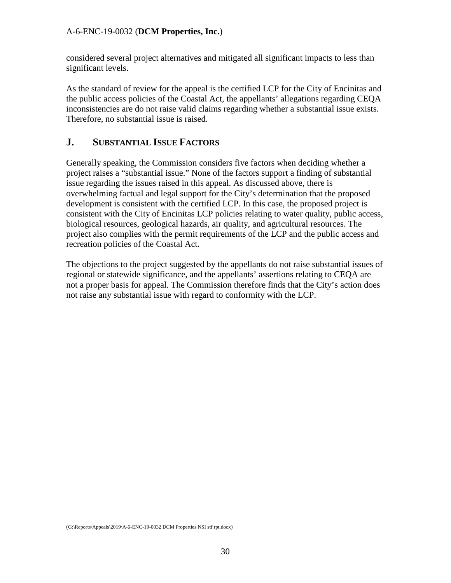considered several project alternatives and mitigated all significant impacts to less than significant levels.

As the standard of review for the appeal is the certified LCP for the City of Encinitas and the public access policies of the Coastal Act, the appellants' allegations regarding CEQA inconsistencies are do not raise valid claims regarding whether a substantial issue exists. Therefore, no substantial issue is raised.

# <span id="page-29-0"></span>**J. SUBSTANTIAL ISSUE FACTORS**

Generally speaking, the Commission considers five factors when deciding whether a project raises a "substantial issue." None of the factors support a finding of substantial issue regarding the issues raised in this appeal. As discussed above, there is overwhelming factual and legal support for the City's determination that the proposed development is consistent with the certified LCP. In this case, the proposed project is consistent with the City of Encinitas LCP policies relating to water quality, public access, biological resources, geological hazards, air quality, and agricultural resources. The project also complies with the permit requirements of the LCP and the public access and recreation policies of the Coastal Act.

The objections to the project suggested by the appellants do not raise substantial issues of regional or statewide significance, and the appellants' assertions relating to CEQA are not a proper basis for appeal. The Commission therefore finds that the City's action does not raise any substantial issue with regard to conformity with the LCP.